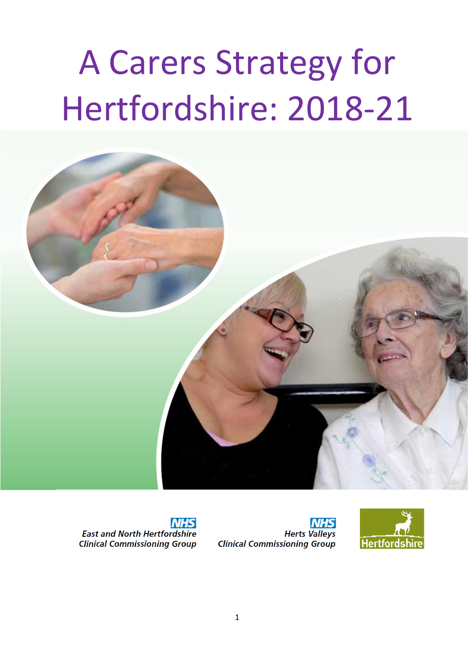# A Carers Strategy for Hertfordshire: 2018-21



**NHS East and North Hertfordshire Clinical Commissioning Group** 

**NHS Herts Valleys Clinical Commissioning Group** 

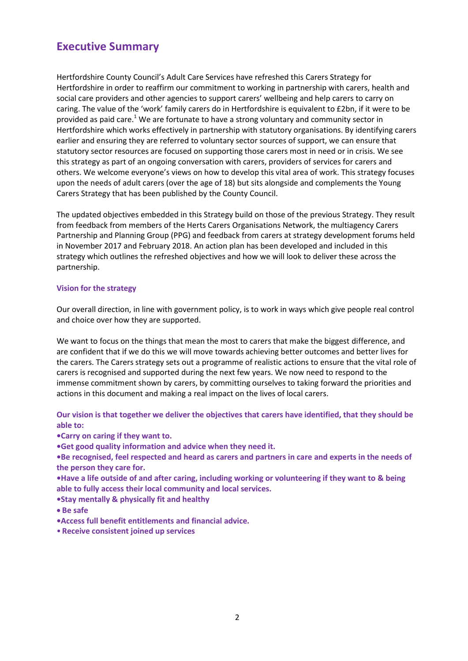#### **Executive Summary**

Hertfordshire County Council's Adult Care Services have refreshed this Carers Strategy for Hertfordshire in order to reaffirm our commitment to working in partnership with carers, health and social care providers and other agencies to support carers' wellbeing and help carers to carry on caring. The value of the 'work' family carers do in Hertfordshire is equivalent to £2bn, if it were to be provided as paid care.<sup>1</sup> We are fortunate to have a strong voluntary and community sector in Hertfordshire which works effectively in partnership with statutory organisations. By identifying carers earlier and ensuring they are referred to voluntary sector sources of support, we can ensure that statutory sector resources are focused on supporting those carers most in need or in crisis. We see this strategy as part of an ongoing conversation with carers, providers of services for carers and others. We welcome everyone's views on how to develop this vital area of work. This strategy focuses upon the needs of adult carers (over the age of 18) but sits alongside and complements the Young Carers Strategy that has been published by the County Council.

The updated objectives embedded in this Strategy build on those of the previous Strategy. They result from feedback from members of the Herts Carers Organisations Network, the multiagency Carers Partnership and Planning Group (PPG) and feedback from carers at strategy development forums held in November 2017 and February 2018. An action plan has been developed and included in this strategy which outlines the refreshed objectives and how we will look to deliver these across the partnership.

#### **Vision for the strategy**

Our overall direction, in line with government policy, is to work in ways which give people real control and choice over how they are supported.

We want to focus on the things that mean the most to carers that make the biggest difference, and are confident that if we do this we will move towards achieving better outcomes and better lives for the carers. The Carers strategy sets out a programme of realistic actions to ensure that the vital role of carers is recognised and supported during the next few years. We now need to respond to the immense commitment shown by carers, by committing ourselves to taking forward the priorities and actions in this document and making a real impact on the lives of local carers.

**Our vision is that together we deliver the objectives that carers have identified, that they should be able to:**

**•Carry on caring if they want to.**

**•Get good quality information and advice when they need it.**

**•Be recognised, feel respected and heard as carers and partners in care and experts in the needs of the person they care for.**

**•Have a life outside of and after caring, including working or volunteering if they want to & being able to fully access their local community and local services.**

- **•Stay mentally & physically fit and healthy**
- **Be safe**
- **•Access full benefit entitlements and financial advice.**
- **Receive consistent joined up services**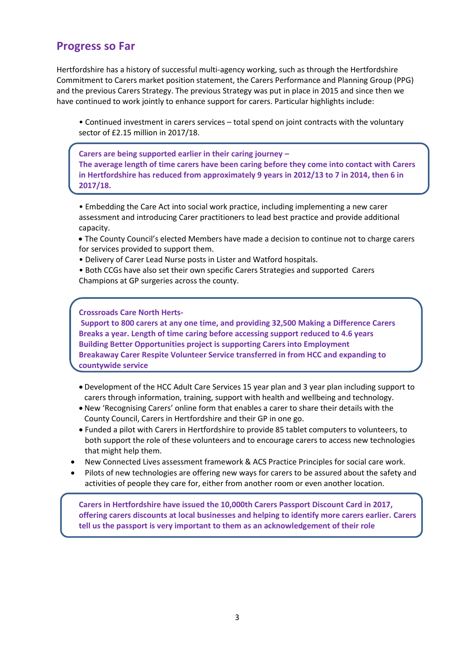#### **Progress so Far**

Hertfordshire has a history of successful multi-agency working, such as through the Hertfordshire Commitment to Carers market position statement, the Carers Performance and Planning Group (PPG) and the previous Carers Strategy. The previous Strategy was put in place in 2015 and since then we have continued to work jointly to enhance support for carers. Particular highlights include:

• Continued investment in carers services – total spend on joint contracts with the voluntary sector of £2.15 million in 2017/18.

**Carers are being supported earlier in their caring journey – The average length of time carers have been caring before they come into contact with Carers in Hertfordshire has reduced from approximately 9 years in 2012/13 to 7 in 2014, then 6 in 2017/18.**

• Embedding the Care Act into social work practice, including implementing a new carer assessment and introducing Carer practitioners to lead best practice and provide additional capacity.

- The County Council's elected Members have made a decision to continue not to charge carers for services provided to support them.
- Delivery of Carer Lead Nurse posts in Lister and Watford hospitals.
- Both CCGs have also set their own specific Carers Strategies and supported Carers Champions at GP surgeries across the county.

**Crossroads Care North Herts-**

**Support to 800 carers at any one time, and providing 32,500 Making a Difference Carers Breaks a year. Length of time caring before accessing support reduced to 4.6 years Building Better Opportunities project is supporting Carers into Employment Breakaway Carer Respite Volunteer Service transferred in from HCC and expanding to countywide service**

- Development of the HCC Adult Care Services 15 year plan and 3 year plan including support to carers through information, training, support with health and wellbeing and technology.
- New 'Recognising Carers' online form that enables a carer to share their details with the County Council, Carers in Hertfordshire and their GP in one go.
- Funded a pilot with Carers in Hertfordshire to provide 85 tablet computers to volunteers, to both support the role of these volunteers and to encourage carers to access new technologies that might help them.
- New Connected Lives assessment framework & ACS Practice Principles for social care work.
- Pilots of new technologies are offering new ways for carers to be assured about the safety and activities of people they care for, either from another room or even another location.

**Carers in Hertfordshire have issued the 10,000th Carers Passport Discount Card in 2017, offering carers discounts at local businesses and helping to identify more carers earlier. Carers tell us the passport is very important to them as an acknowledgement of their role**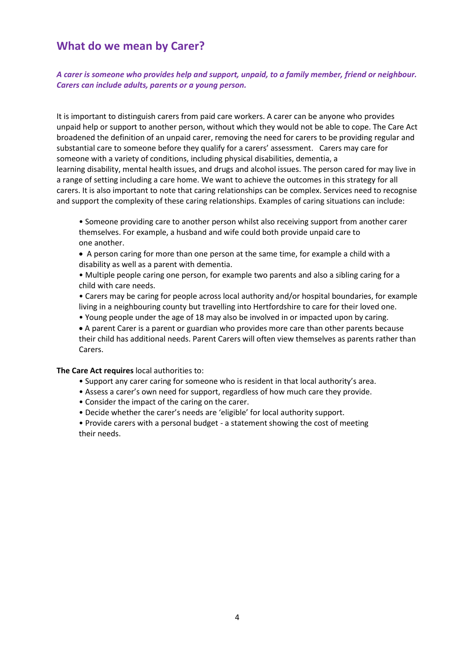#### **What do we mean by Carer?**

*A carer is someone who provides help and support, unpaid, to a family member, friend or neighbour. Carers can include adults, parents or a young person.*

It is important to distinguish carers from paid care workers. A carer can be anyone who provides unpaid help or support to another person, without which they would not be able to cope. The Care Act broadened the definition of an unpaid carer, removing the need for carers to be providing regular and substantial care to someone before they qualify for a carers' assessment. Carers may care for someone with a variety of conditions, including physical disabilities, dementia, a learning disability, mental health issues, and drugs and alcohol issues. The person cared for may live in a range of setting including a care home. We want to achieve the outcomes in this strategy for all carers. It is also important to note that caring relationships can be complex. Services need to recognise and support the complexity of these caring relationships. Examples of caring situations can include:

• Someone providing care to another person whilst also receiving support from another carer themselves. For example, a husband and wife could both provide unpaid care to one another.

 A person caring for more than one person at the same time, for example a child with a disability as well as a parent with dementia.

• Multiple people caring one person, for example two parents and also a sibling caring for a child with care needs.

• Carers may be caring for people across local authority and/or hospital boundaries, for example living in a neighbouring county but travelling into Hertfordshire to care for their loved one.

• Young people under the age of 18 may also be involved in or impacted upon by caring.

 A parent Carer is a parent or guardian who provides more care than other parents because their child has additional needs. Parent Carers will often view themselves as parents rather than Carers.

**The Care Act requires** local authorities to:

- Support any carer caring for someone who is resident in that local authority's area.
- Assess a carer's own need for support, regardless of how much care they provide.
- Consider the impact of the caring on the carer.
- Decide whether the carer's needs are 'eligible' for local authority support.

• Provide carers with a personal budget - a statement showing the cost of meeting their needs.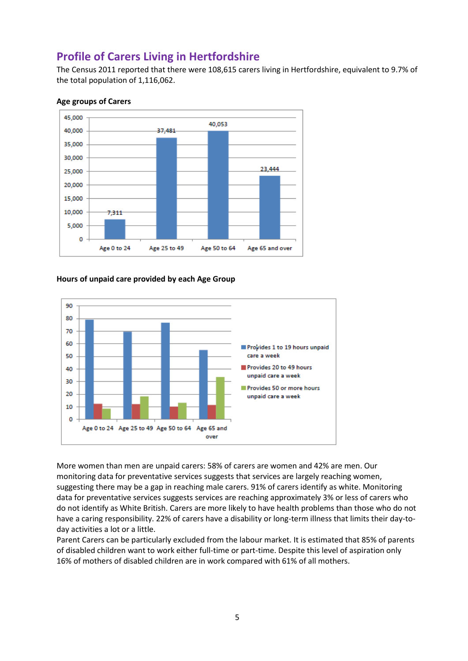#### **Profile of Carers Living in Hertfordshire**

The Census 2011 reported that there were 108,615 carers living in Hertfordshire, equivalent to 9.7% of the total population of 1,116,062.



#### **Age groups of Carers**

#### **Hours of unpaid care provided by each Age Group**



More women than men are unpaid carers: 58% of carers are women and 42% are men. Our monitoring data for preventative services suggests that services are largely reaching women, suggesting there may be a gap in reaching male carers. 91% of carers identify as white. Monitoring data for preventative services suggests services are reaching approximately 3% or less of carers who do not identify as White British. Carers are more likely to have health problems than those who do not have a caring responsibility. 22% of carers have a disability or long-term illness that limits their day-today activities a lot or a little.

Parent Carers can be particularly excluded from the labour market. It is estimated that 85% of parents of disabled children want to work either full-time or part-time. Despite this level of aspiration only 16% of mothers of disabled children are in work compared with 61% of all mothers.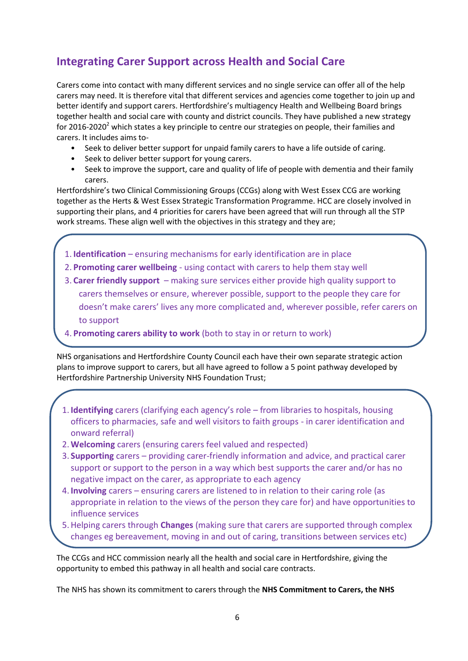# **Integrating Carer Support across Health and Social Care**

Carers come into contact with many different services and no single service can offer all of the help carers may need. It is therefore vital that different services and agencies come together to join up and better identify and support carers. Hertfordshire's multiagency Health and Wellbeing Board brings together health and social care with county and district councils. They have published a new strategy for 2016-2020<sup>2</sup> which states a key principle to centre our strategies on people, their families and carers. It includes aims to-

- Seek to deliver better support for unpaid family carers to have a life outside of caring.
- Seek to deliver better support for young carers.
- Seek to improve the support, care and quality of life of people with dementia and their family carers.

Hertfordshire's two Clinical Commissioning Groups (CCGs) along with West Essex CCG are working together as the Herts & West Essex Strategic Transformation Programme. HCC are closely involved in supporting their plans, and 4 priorities for carers have been agreed that will run through all the STP work streams. These align well with the objectives in this strategy and they are;

- 1. **Identification** ensuring mechanisms for early identification are in place
- 2. **Promoting carer wellbeing** using contact with carers to help them stay well
- 3. **Carer friendly support** making sure services either provide high quality support to carers themselves or ensure, wherever possible, support to the people they care for doesn't make carers' lives any more complicated and, wherever possible, refer carers on to support
- 4. **Promoting carers ability to work** (both to stay in or return to work)

NHS organisations and Hertfordshire County Council each have their own separate strategic action plans to improve support to carers, but all have agreed to follow a 5 point pathway developed by Hertfordshire Partnership University NHS Foundation Trust;

- 1. **Identifying** carers (clarifying each agency's role from libraries to hospitals, housing officers to pharmacies, safe and well visitors to faith groups - in carer identification and onward referral)
- 2.**Welcoming** carers (ensuring carers feel valued and respected)
- 3. **Supporting** carers providing carer-friendly information and advice, and practical carer support or support to the person in a way which best supports the carer and/or has no negative impact on the carer, as appropriate to each agency
- 4. **Involving** carers ensuring carers are listened to in relation to their caring role (as appropriate in relation to the views of the person they care for) and have opportunities to influence services
- 5.Helping carers through **Changes** (making sure that carers are supported through complex changes eg bereavement, moving in and out of caring, transitions between services etc)

The CCGs and HCC commission nearly all the health and social care in Hertfordshire, giving the opportunity to embed this pathway in all health and social care contracts.

The NHS has shown its commitment to carers through the **NHS Commitment to Carers, the NHS**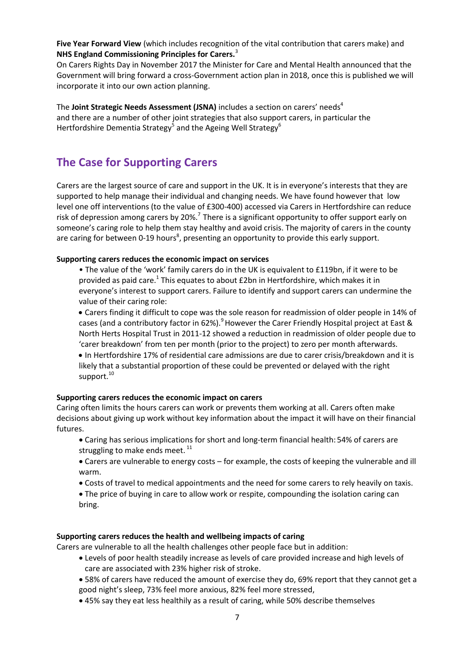**Five Year Forward View** (which includes recognition of the vital contribution that carers make) and **NHS England Commissioning Principles for Carers.**<sup>3</sup>

On Carers Rights Day in November 2017 the Minister for Care and Mental Health announced that the Government will bring forward a cross-Government action plan in 2018, once this is published we will incorporate it into our own action planning.

The **Joint Strategic Needs Assessment (JSNA)** includes a section on carers' needs<sup>4</sup> and there are a number of other joint strategies that also support carers, in particular the Hertfordshire Dementia Strategy<sup>5</sup> and the Ageing Well Strategy<sup>6</sup>

#### **The Case for Supporting Carers**

Carers are the largest source of care and support in the UK. It is in everyone's interests that they are supported to help manage their individual and changing needs. We have found however that low level one off interventions (to the value of £300-400) accessed via Carers in Hertfordshire can reduce risk of depression among carers by 20%.<sup>7</sup> There is a significant opportunity to offer support early on someone's caring role to help them stay healthy and avoid crisis. The majority of carers in the county are caring for between 0-19 hours<sup>8</sup>, presenting an opportunity to provide this early support.

#### **Supporting carers reduces the economic impact on services**

• The value of the 'work' family carers do in the UK is equivalent to £119bn, if it were to be provided as paid care.<sup>1</sup> This equates to about £2bn in Hertfordshire, which makes it in everyone's interest to support carers. Failure to identify and support carers can undermine the value of their caring role:

 Carers finding it difficult to cope was the sole reason for readmission of older people in 14% of cases (and a contributory factor in 62%).<sup>9</sup> However the Carer Friendly Hospital project at East & North Herts Hospital Trust in 2011-12 showed a reduction in readmission of older people due to 'carer breakdown' from ten per month (prior to the project) to zero per month afterwards. In Hertfordshire 17% of residential care admissions are due to carer crisis/breakdown and it is

likely that a substantial proportion of these could be prevented or delayed with the right support.<sup>10</sup>

#### **Supporting carers reduces the economic impact on carers**

Caring often limits the hours carers can work or prevents them working at all. Carers often make decisions about giving up work without key information about the impact it will have on their financial futures.

- Caring has serious implications for short and long-term financial health: 54% of carers are struggling to make ends meet.  $11$
- Carers are vulnerable to energy costs for example, the costs of keeping the vulnerable and ill warm.
- Costs of travel to medical appointments and the need for some carers to rely heavily on taxis.
- The price of buying in care to allow work or respite, compounding the isolation caring can bring.

#### **Supporting carers reduces the health and wellbeing impacts of caring**

Carers are vulnerable to all the health challenges other people face but in addition:

- Levels of poor health steadily increase as levels of care provided increase and high levels of care are associated with 23% higher risk of stroke.
- 58% of carers have reduced the amount of exercise they do, 69% report that they cannot get a good night's sleep, 73% feel more anxious, 82% feel more stressed,
- 45% say they eat less healthily as a result of caring, while 50% describe themselves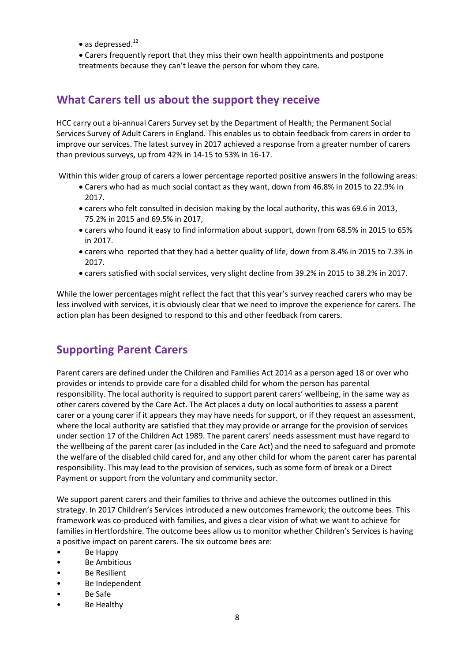• as depressed. $^{12}$ 

 Carers frequently report that they miss their own health appointments and postpone treatments because they can't leave the person for whom they care.

#### **What Carers tell us about the support they receive**

HCC carry out a bi-annual Carers Survey set by the Department of Health; the Permanent Social Services Survey of Adult Carers in England. This enables us to obtain feedback from carers in order to improve our services. The latest survey in 2017 achieved a response from a greater number of carers than previous surveys, up from 42% in 14-15 to 53% in 16-17.

Within this wider group of carers a lower percentage reported positive answers in the following areas:

- Carers who had as much social contact as they want, down from 46.8% in 2015 to 22.9% in 2017.
- carers who felt consulted in decision making by the local authority, this was 69.6 in 2013, 75.2% in 2015 and 69.5% in 2017,
- carers who found it easy to find information about support, down from 68.5% in 2015 to 65% in 2017.
- carers who reported that they had a better quality of life, down from 8.4% in 2015 to 7.3% in 2017.
- carers satisfied with social services, very slight decline from 39.2% in 2015 to 38.2% in 2017.

While the lower percentages might reflect the fact that this year's survey reached carers who may be less involved with services, it is obviously clear that we need to improve the experience for carers. The action plan has been designed to respond to this and other feedback from carers.

#### **Supporting Parent Carers**

Parent carers are defined under the Children and Families Act 2014 as a person aged 18 or over who provides or intends to provide care for a disabled child for whom the person has parental responsibility. The local authority is required to support parent carers' wellbeing, in the same way as other carers covered by the Care Act. The Act places a duty on local authorities to assess a parent carer or a young carer if it appears they may have needs for support, or if they request an assessment, where the local authority are satisfied that they may provide or arrange for the provision of services under section 17 of the Children Act 1989. The parent carers' needs assessment must have regard to the wellbeing of the parent carer (as included in the Care Act) and the need to safeguard and promote the welfare of the disabled child cared for, and any other child for whom the parent carer has parental responsibility. This may lead to the provision of services, such as some form of break or a Direct Payment or support from the voluntary and community sector.

We support parent carers and their families to thrive and achieve the outcomes outlined in this strategy. In 2017 Children's Services introduced a new outcomes framework; the outcome bees. This framework was co-produced with families, and gives a clear vision of what we want to achieve for families in Hertfordshire. The outcome bees allow us to monitor whether Children's Services is having a positive impact on parent carers. The six outcome bees are:

- Be Happy
- Be Ambitious
- Be Resilient
- Be Independent
- Be Safe
- Be Healthy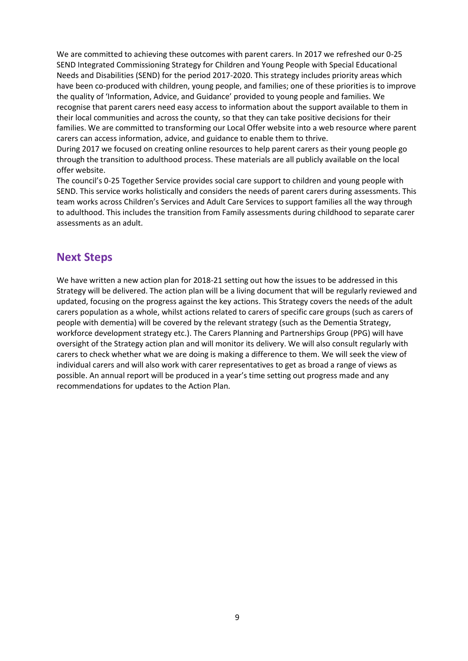We are committed to achieving these outcomes with parent carers. In 2017 we refreshed our 0-25 SEND Integrated Commissioning Strategy for Children and Young People with Special Educational Needs and Disabilities (SEND) for the period 2017-2020. This strategy includes priority areas which have been co-produced with children, young people, and families; one of these priorities is to improve the quality of 'Information, Advice, and Guidance' provided to young people and families. We recognise that parent carers need easy access to information about the support available to them in their local communities and across the county, so that they can take positive decisions for their families. We are committed to transforming our Local Offer website into a web resource where parent carers can access information, advice, and guidance to enable them to thrive.

During 2017 we focused on creating online resources to help parent carers as their young people go through the transition to adulthood process. These materials are all publicly available on the local offer website.

The council's 0-25 Together Service provides social care support to children and young people with SEND. This service works holistically and considers the needs of parent carers during assessments. This team works across Children's Services and Adult Care Services to support families all the way through to adulthood. This includes the transition from Family assessments during childhood to separate carer assessments as an adult.

#### **Next Steps**

We have written a new action plan for 2018-21 setting out how the issues to be addressed in this Strategy will be delivered. The action plan will be a living document that will be regularly reviewed and updated, focusing on the progress against the key actions. This Strategy covers the needs of the adult carers population as a whole, whilst actions related to carers of specific care groups (such as carers of people with dementia) will be covered by the relevant strategy (such as the Dementia Strategy, workforce development strategy etc.). The Carers Planning and Partnerships Group (PPG) will have oversight of the Strategy action plan and will monitor its delivery. We will also consult regularly with carers to check whether what we are doing is making a difference to them. We will seek the view of individual carers and will also work with carer representatives to get as broad a range of views as possible. An annual report will be produced in a year's time setting out progress made and any recommendations for updates to the Action Plan.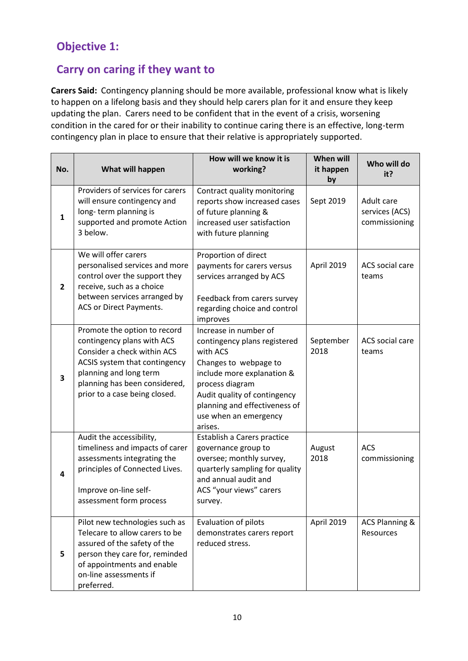# **Objective 1:**

# **Carry on caring if they want to**

**Carers Said:** Contingency planning should be more available, professional know what is likely to happen on a lifelong basis and they should help carers plan for it and ensure they keep updating the plan. Carers need to be confident that in the event of a crisis, worsening condition in the cared for or their inability to continue caring there is an effective, long-term contingency plan in place to ensure that their relative is appropriately supported.

| No.          | What will happen                                                                                                                                                                                                       | How will we know it is<br>working?                                                                                                                                                                                                               | When will<br>it happen<br>by | Who will do<br>it?                            |
|--------------|------------------------------------------------------------------------------------------------------------------------------------------------------------------------------------------------------------------------|--------------------------------------------------------------------------------------------------------------------------------------------------------------------------------------------------------------------------------------------------|------------------------------|-----------------------------------------------|
| $\mathbf{1}$ | Providers of services for carers<br>will ensure contingency and<br>long-term planning is<br>supported and promote Action<br>3 below.                                                                                   | Contract quality monitoring<br>reports show increased cases<br>of future planning &<br>increased user satisfaction<br>with future planning                                                                                                       | Sept 2019                    | Adult care<br>services (ACS)<br>commissioning |
| $\mathbf{2}$ | We will offer carers<br>personalised services and more<br>control over the support they<br>receive, such as a choice<br>between services arranged by<br>ACS or Direct Payments.                                        | Proportion of direct<br>payments for carers versus<br>services arranged by ACS<br>Feedback from carers survey<br>regarding choice and control<br>improves                                                                                        | April 2019                   | ACS social care<br>teams                      |
| 3            | Promote the option to record<br>contingency plans with ACS<br>Consider a check within ACS<br>ACSIS system that contingency<br>planning and long term<br>planning has been considered,<br>prior to a case being closed. | Increase in number of<br>contingency plans registered<br>with ACS<br>Changes to webpage to<br>include more explanation &<br>process diagram<br>Audit quality of contingency<br>planning and effectiveness of<br>use when an emergency<br>arises. | September<br>2018            | ACS social care<br>teams                      |
| 4            | Audit the accessibility,<br>timeliness and impacts of carer<br>assessments integrating the<br>principles of Connected Lives.<br>Improve on-line self-<br>assessment form process                                       | Establish a Carers practice<br>governance group to<br>oversee; monthly survey,<br>quarterly sampling for quality<br>and annual audit and<br>ACS "your views" carers<br>survey.                                                                   | August<br>2018               | <b>ACS</b><br>commissioning                   |
| 5            | Pilot new technologies such as<br>Telecare to allow carers to be<br>assured of the safety of the<br>person they care for, reminded<br>of appointments and enable<br>on-line assessments if<br>preferred.               | Evaluation of pilots<br>demonstrates carers report<br>reduced stress.                                                                                                                                                                            | April 2019                   | <b>ACS Planning &amp;</b><br>Resources        |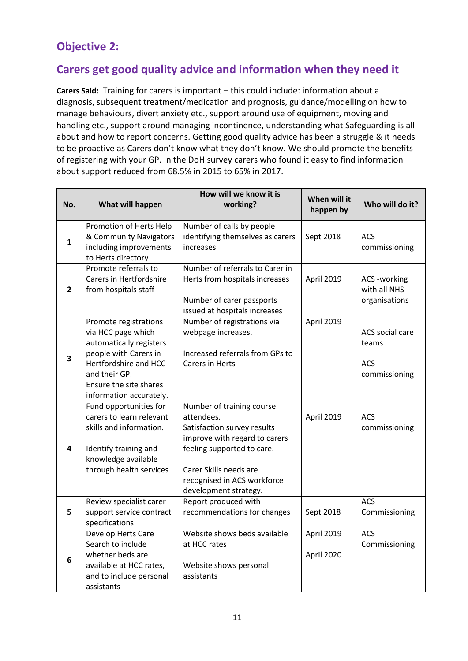# **Objective 2:**

#### **Carers get good quality advice and information when they need it**

**Carers Said:** Training for carers is important – this could include: information about a diagnosis, subsequent treatment/medication and prognosis, guidance/modelling on how to manage behaviours, divert anxiety etc., support around use of equipment, moving and handling etc., support around managing incontinence, understanding what Safeguarding is all about and how to report concerns. Getting good quality advice has been a struggle & it needs to be proactive as Carers don't know what they don't know. We should promote the benefits of registering with your GP. In the DoH survey carers who found it easy to find information about support reduced from 68.5% in 2015 to 65% in 2017.

| No.            | What will happen                                                                                                                                                                               | How will we know it is<br>working?                                                                                                                                                                                      | When will it<br>happen by | Who will do it?                                         |
|----------------|------------------------------------------------------------------------------------------------------------------------------------------------------------------------------------------------|-------------------------------------------------------------------------------------------------------------------------------------------------------------------------------------------------------------------------|---------------------------|---------------------------------------------------------|
| $\mathbf{1}$   | Promotion of Herts Help<br>& Community Navigators<br>including improvements<br>to Herts directory                                                                                              | Number of calls by people<br>identifying themselves as carers<br>increases                                                                                                                                              | Sept 2018                 | <b>ACS</b><br>commissioning                             |
| $\overline{2}$ | Promote referrals to<br>Carers in Hertfordshire<br>from hospitals staff                                                                                                                        | Number of referrals to Carer in<br>Herts from hospitals increases<br>Number of carer passports<br>issued at hospitals increases                                                                                         | April 2019                | ACS -working<br>with all NHS<br>organisations           |
| 3              | Promote registrations<br>via HCC page which<br>automatically registers<br>people with Carers in<br>Hertfordshire and HCC<br>and their GP.<br>Ensure the site shares<br>information accurately. | Number of registrations via<br>webpage increases.<br>Increased referrals from GPs to<br><b>Carers in Herts</b>                                                                                                          | April 2019                | ACS social care<br>teams<br><b>ACS</b><br>commissioning |
| 4              | Fund opportunities for<br>carers to learn relevant<br>skills and information.<br>Identify training and<br>knowledge available<br>through health services                                       | Number of training course<br>attendees.<br>Satisfaction survey results<br>improve with regard to carers<br>feeling supported to care.<br>Carer Skills needs are<br>recognised in ACS workforce<br>development strategy. | April 2019                | <b>ACS</b><br>commissioning                             |
| 5              | Review specialist carer<br>support service contract<br>specifications                                                                                                                          | Report produced with<br>recommendations for changes                                                                                                                                                                     | Sept 2018                 | <b>ACS</b><br>Commissioning                             |
| 6              | Develop Herts Care<br>Search to include<br>whether beds are<br>available at HCC rates,<br>and to include personal<br>assistants                                                                | Website shows beds available<br>at HCC rates<br>Website shows personal<br>assistants                                                                                                                                    | April 2019<br>April 2020  | <b>ACS</b><br>Commissioning                             |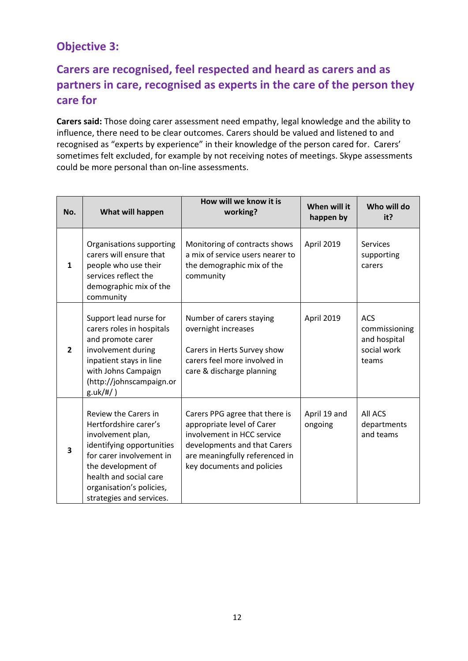## **Objective 3:**

# **Carers are recognised, feel respected and heard as carers and as partners in care, recognised as experts in the care of the person they care for**

**Carers said:** Those doing carer assessment need empathy, legal knowledge and the ability to influence, there need to be clear outcomes. Carers should be valued and listened to and recognised as "experts by experience" in their knowledge of the person cared for. Carers' sometimes felt excluded, for example by not receiving notes of meetings. Skype assessments could be more personal than on-line assessments.

| No.            | What will happen                                                                                                                                                                                                                    | How will we know it is<br>working?                                                                                                                                                         | When will it<br>happen by | Who will do<br>it?                                                  |
|----------------|-------------------------------------------------------------------------------------------------------------------------------------------------------------------------------------------------------------------------------------|--------------------------------------------------------------------------------------------------------------------------------------------------------------------------------------------|---------------------------|---------------------------------------------------------------------|
| $\mathbf{1}$   | Organisations supporting<br>carers will ensure that<br>people who use their<br>services reflect the<br>demographic mix of the<br>community                                                                                          | Monitoring of contracts shows<br>a mix of service users nearer to<br>the demographic mix of the<br>community                                                                               | April 2019                | <b>Services</b><br>supporting<br>carers                             |
| $\overline{2}$ | Support lead nurse for<br>carers roles in hospitals<br>and promote carer<br>involvement during<br>inpatient stays in line<br>with Johns Campaign<br>(http://johnscampaign.or<br>g.uk/#/)                                            | Number of carers staying<br>overnight increases<br>Carers in Herts Survey show<br>carers feel more involved in<br>care & discharge planning                                                | April 2019                | <b>ACS</b><br>commissioning<br>and hospital<br>social work<br>teams |
| 3              | Review the Carers in<br>Hertfordshire carer's<br>involvement plan,<br>identifying opportunities<br>for carer involvement in<br>the development of<br>health and social care<br>organisation's policies,<br>strategies and services. | Carers PPG agree that there is<br>appropriate level of Carer<br>involvement in HCC service<br>developments and that Carers<br>are meaningfully referenced in<br>key documents and policies | April 19 and<br>ongoing   | All ACS<br>departments<br>and teams                                 |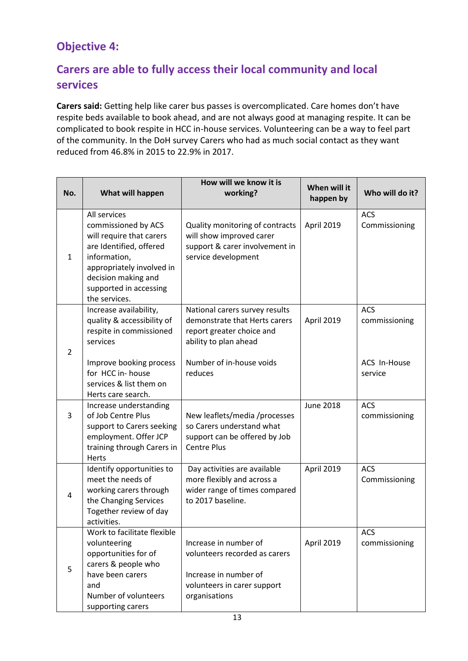# **Objective 4:**

# **Carers are able to fully access their local community and local services**

**Carers said:** Getting help like carer bus passes is overcomplicated. Care homes don't have respite beds available to book ahead, and are not always good at managing respite. It can be complicated to book respite in HCC in-house services. Volunteering can be a way to feel part of the community. In the DoH survey Carers who had as much social contact as they want reduced from 46.8% in 2015 to 22.9% in 2017.

| No.          | What will happen                                                                                                                                                                                          | How will we know it is<br>working?                                                                                                                           | When will it<br>happen by | Who will do it?                                 |
|--------------|-----------------------------------------------------------------------------------------------------------------------------------------------------------------------------------------------------------|--------------------------------------------------------------------------------------------------------------------------------------------------------------|---------------------------|-------------------------------------------------|
| $\mathbf{1}$ | All services<br>commissioned by ACS<br>will require that carers<br>are Identified, offered<br>information,<br>appropriately involved in<br>decision making and<br>supported in accessing<br>the services. | Quality monitoring of contracts<br>will show improved carer<br>support & carer involvement in<br>service development                                         | April 2019                | <b>ACS</b><br>Commissioning                     |
| 2            | Increase availability,<br>quality & accessibility of<br>respite in commissioned<br>services<br>Improve booking process<br>for HCC in-house<br>services & list them on<br>Herts care search.               | National carers survey results<br>demonstrate that Herts carers<br>report greater choice and<br>ability to plan ahead<br>Number of in-house voids<br>reduces | April 2019                | ACS<br>commissioning<br>ACS In-House<br>service |
| 3            | Increase understanding<br>of Job Centre Plus<br>support to Carers seeking<br>employment. Offer JCP<br>training through Carers in<br>Herts                                                                 | New leaflets/media /processes<br>so Carers understand what<br>support can be offered by Job<br><b>Centre Plus</b>                                            | <b>June 2018</b>          | <b>ACS</b><br>commissioning                     |
| 4            | Identify opportunities to<br>meet the needs of<br>working carers through<br>the Changing Services<br>Together review of day<br>activities.                                                                | Day activities are available<br>more flexibly and across a<br>wider range of times compared<br>to 2017 baseline.                                             | April 2019                | <b>ACS</b><br>Commissioning                     |
| 5            | Work to facilitate flexible<br>volunteering<br>opportunities for of<br>carers & people who<br>have been carers<br>and<br>Number of volunteers<br>supporting carers                                        | Increase in number of<br>volunteers recorded as carers<br>Increase in number of<br>volunteers in carer support<br>organisations                              | April 2019                | <b>ACS</b><br>commissioning                     |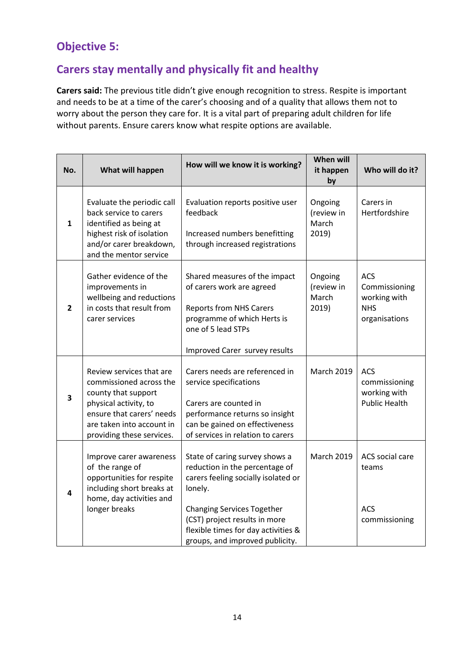## **Objective 5:**

# **Carers stay mentally and physically fit and healthy**

**Carers said:** The previous title didn't give enough recognition to stress. Respite is important and needs to be at a time of the carer's choosing and of a quality that allows them not to worry about the person they care for. It is a vital part of preparing adult children for life without parents. Ensure carers know what respite options are available.

| No.            | What will happen                                                                                                                                                                           | How will we know it is working?                                                                                                                                                                                                                                    | <b>When will</b><br>it happen<br>by     | Who will do it?                                                     |
|----------------|--------------------------------------------------------------------------------------------------------------------------------------------------------------------------------------------|--------------------------------------------------------------------------------------------------------------------------------------------------------------------------------------------------------------------------------------------------------------------|-----------------------------------------|---------------------------------------------------------------------|
| 1              | Evaluate the periodic call<br>back service to carers<br>identified as being at<br>highest risk of isolation<br>and/or carer breakdown,<br>and the mentor service                           | Evaluation reports positive user<br>feedback<br>Increased numbers benefitting<br>through increased registrations                                                                                                                                                   | Ongoing<br>(review in<br>March<br>2019) | Carers in<br>Hertfordshire                                          |
| $\overline{2}$ | Gather evidence of the<br>improvements in<br>wellbeing and reductions<br>in costs that result from<br>carer services                                                                       | Shared measures of the impact<br>of carers work are agreed<br><b>Reports from NHS Carers</b><br>programme of which Herts is<br>one of 5 lead STPs<br>Improved Carer survey results                                                                                 | Ongoing<br>(review in<br>March<br>2019) | ACS<br>Commissioning<br>working with<br><b>NHS</b><br>organisations |
| 3              | Review services that are<br>commissioned across the<br>county that support<br>physical activity, to<br>ensure that carers' needs<br>are taken into account in<br>providing these services. | Carers needs are referenced in<br>service specifications<br>Carers are counted in<br>performance returns so insight<br>can be gained on effectiveness<br>of services in relation to carers                                                                         | <b>March 2019</b>                       | <b>ACS</b><br>commissioning<br>working with<br><b>Public Health</b> |
| 4              | Improve carer awareness<br>of the range of<br>opportunities for respite<br>including short breaks at<br>home, day activities and<br>longer breaks                                          | State of caring survey shows a<br>reduction in the percentage of<br>carers feeling socially isolated or<br>lonely.<br><b>Changing Services Together</b><br>(CST) project results in more<br>flexible times for day activities &<br>groups, and improved publicity. | <b>March 2019</b>                       | ACS social care<br>teams<br><b>ACS</b><br>commissioning             |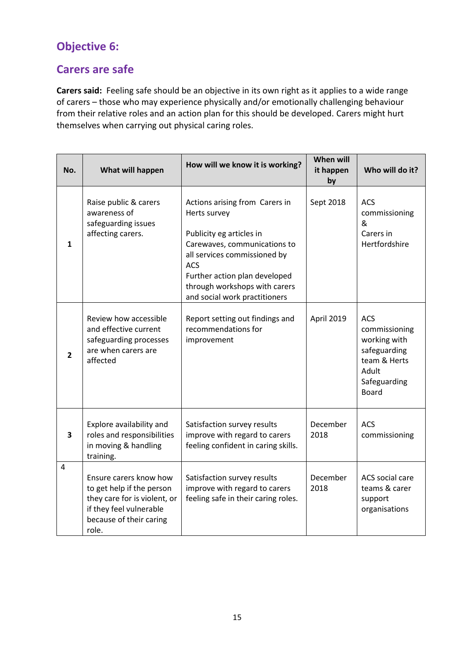# **Objective 6:**

#### **Carers are safe**

**Carers said:** Feeling safe should be an objective in its own right as it applies to a wide range of carers – those who may experience physically and/or emotionally challenging behaviour from their relative roles and an action plan for this should be developed. Carers might hurt themselves when carrying out physical caring roles.

| No.            | What will happen                                                                                                                                   | How will we know it is working?                                                                                                                                                                                                                             | <b>When will</b><br>it happen<br>by | Who will do it?                                                                                               |
|----------------|----------------------------------------------------------------------------------------------------------------------------------------------------|-------------------------------------------------------------------------------------------------------------------------------------------------------------------------------------------------------------------------------------------------------------|-------------------------------------|---------------------------------------------------------------------------------------------------------------|
| 1              | Raise public & carers<br>awareness of<br>safeguarding issues<br>affecting carers.                                                                  | Actions arising from Carers in<br>Herts survey<br>Publicity eg articles in<br>Carewaves, communications to<br>all services commissioned by<br><b>ACS</b><br>Further action plan developed<br>through workshops with carers<br>and social work practitioners | Sept 2018                           | <b>ACS</b><br>commissioning<br>&<br>Carers in<br>Hertfordshire                                                |
| $\overline{2}$ | Review how accessible<br>and effective current<br>safeguarding processes<br>are when carers are<br>affected                                        | Report setting out findings and<br>recommendations for<br>improvement                                                                                                                                                                                       | April 2019                          | ACS<br>commissioning<br>working with<br>safeguarding<br>team & Herts<br>Adult<br>Safeguarding<br><b>Board</b> |
| 3              | Explore availability and<br>roles and responsibilities<br>in moving & handling<br>training.                                                        | Satisfaction survey results<br>improve with regard to carers<br>feeling confident in caring skills.                                                                                                                                                         | December<br>2018                    | <b>ACS</b><br>commissioning                                                                                   |
| $\overline{4}$ | Ensure carers know how<br>to get help if the person<br>they care for is violent, or<br>if they feel vulnerable<br>because of their caring<br>role. | Satisfaction survey results<br>improve with regard to carers<br>feeling safe in their caring roles.                                                                                                                                                         | December<br>2018                    | ACS social care<br>teams & carer<br>support<br>organisations                                                  |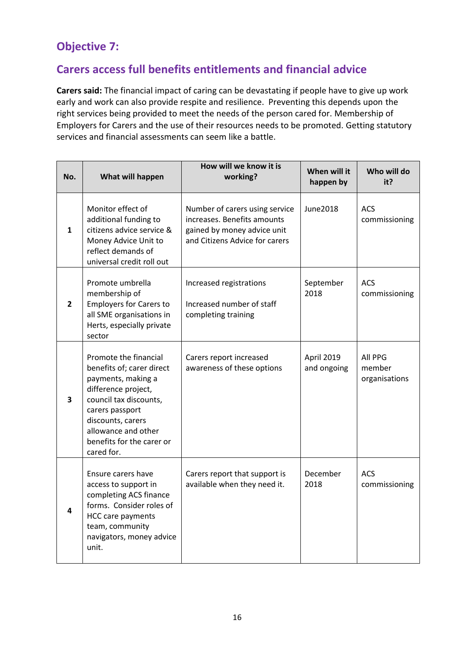## **Objective 7:**

# **Carers access full benefits entitlements and financial advice**

**Carers said:** The financial impact of caring can be devastating if people have to give up work early and work can also provide respite and resilience. Preventing this depends upon the right services being provided to meet the needs of the person cared for. Membership of Employers for Carers and the use of their resources needs to be promoted. Getting statutory services and financial assessments can seem like a battle.

| No.          | What will happen                                                                                                                                                                                                                    | How will we know it is<br>working?                                                                                             | When will it<br>happen by | Who will do<br>it?                 |
|--------------|-------------------------------------------------------------------------------------------------------------------------------------------------------------------------------------------------------------------------------------|--------------------------------------------------------------------------------------------------------------------------------|---------------------------|------------------------------------|
| 1            | Monitor effect of<br>additional funding to<br>citizens advice service &<br>Money Advice Unit to<br>reflect demands of<br>universal credit roll out                                                                                  | Number of carers using service<br>increases. Benefits amounts<br>gained by money advice unit<br>and Citizens Advice for carers | June 2018                 | <b>ACS</b><br>commissioning        |
| $\mathbf{2}$ | Promote umbrella<br>membership of<br><b>Employers for Carers to</b><br>all SME organisations in<br>Herts, especially private<br>sector                                                                                              | Increased registrations<br>Increased number of staff<br>completing training                                                    | September<br>2018         | <b>ACS</b><br>commissioning        |
| 3            | Promote the financial<br>benefits of; carer direct<br>payments, making a<br>difference project,<br>council tax discounts,<br>carers passport<br>discounts, carers<br>allowance and other<br>benefits for the carer or<br>cared for. | Carers report increased<br>awareness of these options                                                                          | April 2019<br>and ongoing | All PPG<br>member<br>organisations |
| 4            | Ensure carers have<br>access to support in<br>completing ACS finance<br>forms. Consider roles of<br><b>HCC care payments</b><br>team, community<br>navigators, money advice<br>unit.                                                | Carers report that support is<br>available when they need it.                                                                  | December<br>2018          | <b>ACS</b><br>commissioning        |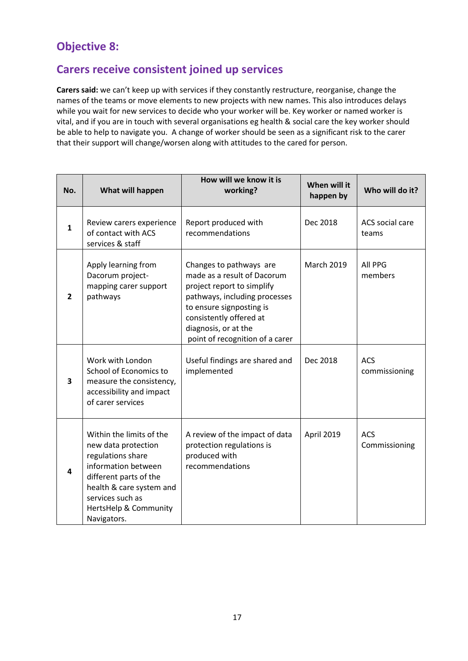## **Objective 8:**

# **Carers receive consistent joined up services**

**Carers said:** we can't keep up with services if they constantly restructure, reorganise, change the names of the teams or move elements to new projects with new names. This also introduces delays while you wait for new services to decide who your worker will be. Key worker or named worker is vital, and if you are in touch with several organisations eg health & social care the key worker should be able to help to navigate you. A change of worker should be seen as a significant risk to the carer that their support will change/worsen along with attitudes to the cared for person.

| No.            | What will happen                                                                                                                                                                                              | How will we know it is<br>working?                                                                                                                                                                                                      | When will it<br>happen by | Who will do it?             |
|----------------|---------------------------------------------------------------------------------------------------------------------------------------------------------------------------------------------------------------|-----------------------------------------------------------------------------------------------------------------------------------------------------------------------------------------------------------------------------------------|---------------------------|-----------------------------|
| $\mathbf{1}$   | Review carers experience<br>of contact with ACS<br>services & staff                                                                                                                                           | Report produced with<br>recommendations                                                                                                                                                                                                 | Dec 2018                  | ACS social care<br>teams    |
| $\overline{2}$ | Apply learning from<br>Dacorum project-<br>mapping carer support<br>pathways                                                                                                                                  | Changes to pathways are<br>made as a result of Dacorum<br>project report to simplify<br>pathways, including processes<br>to ensure signposting is<br>consistently offered at<br>diagnosis, or at the<br>point of recognition of a carer | <b>March 2019</b>         | All PPG<br>members          |
| 3              | Work with London<br>School of Economics to<br>measure the consistency,<br>accessibility and impact<br>of carer services                                                                                       | Useful findings are shared and<br>implemented                                                                                                                                                                                           | Dec 2018                  | <b>ACS</b><br>commissioning |
| 4              | Within the limits of the<br>new data protection<br>regulations share<br>information between<br>different parts of the<br>health & care system and<br>services such as<br>HertsHelp & Community<br>Navigators. | A review of the impact of data<br>protection regulations is<br>produced with<br>recommendations                                                                                                                                         | April 2019                | <b>ACS</b><br>Commissioning |